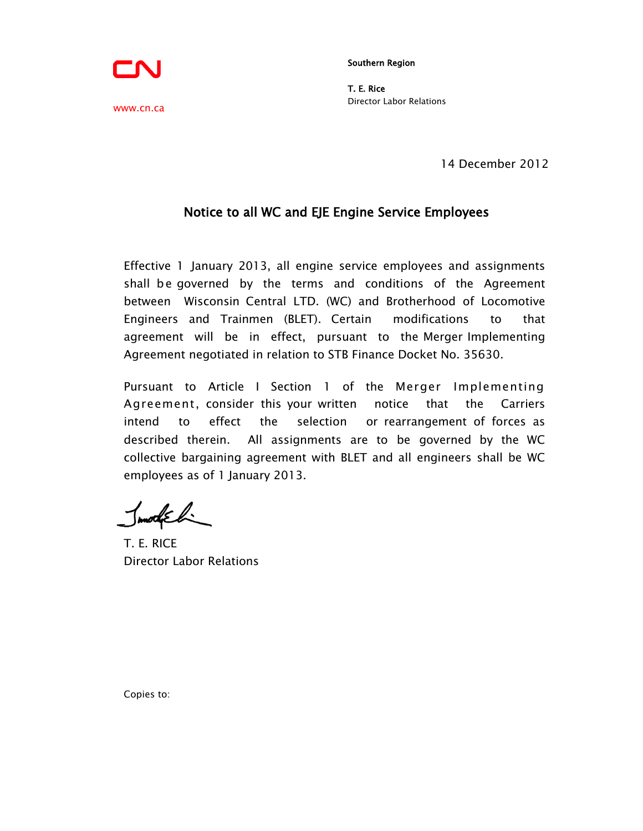Southern Region

T. E. Rice Director Labor Relations

14 December 2012

## Notice to all WC and EJE Engine Service Employees

Effective 1 January 2013, all engine service employees and assignments shall be governed by the terms and conditions of the Agreement between Wisconsin Central LTD. (WC) and Brotherhood of Locomotive Engineers and Trainmen (BLET). Certain modifications to that agreement will be in effect, pursuant to the Merger Implementing Agreement negotiated in relation to STB Finance Docket No. 35630.

Pursuant to Article I Section 1 of the Merger Implementing Agreement, consider this your written notice that the Carriers intend to effect the selection or rearrangement of forces as described therein. All assignments are to be governed by the WC collective bargaining agreement with BLET and all engineers shall be WC employees as of 1 January 2013.

Inmodueli

Copies to:

T. E. RICE Director Labor Relations